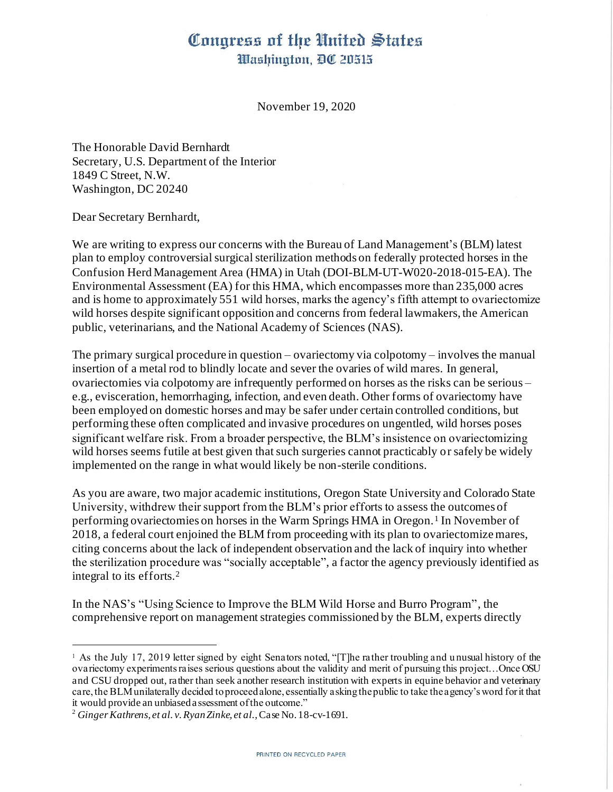## Congress of the United States Washington, DC 20515

November 19, 2020

The Honorable David Bernhardt Secretary, U.S. Department of the Interior 1849 C Street, N.W. Washington, DC 20240

Dear Secretary Bernhardt,

We are writing to express our concerns with the Bureau of Land Management's (BLM) latest plan to employ controversial surgical sterilization methods on federally protected horses in the Confusion Herd Management Area (HMA) in Utah (DOI-BLM-UT-W020-2018-015-EA). The Environmental Assessment (EA) for this HMA, which encompasses more than 235,000 acres and is home to approximately 551 wild horses, marks the agency's fifth attempt to ovariectomize wild horses despite significant opposition and concerns from federal lawmakers, the American public, veterinarians, and the National Academy of Sciences (NAS).

The primary surgical procedure in question – ovariectomy via colpotomy – involves the manual insertion of a metal rod to blindly locate and sever the ovaries of wild mares. In general, ovariectomies via colpotomy are infrequently performed on horses as the risks can be serious – e.g., evisceration, hemorrhaging, infection, and even death. Other forms of ovariectomy have been employed on domestic horses and may be safer under certain controlled conditions, but performing these often complicated and invasive procedures on ungentled, wild horses poses significant welfare risk. From a broader perspective, the BLM's insistence on ovariectomizing wild horses seems futile at best given that such surgeries cannot practicably or safely be widely implemented on the range in what would likely be non-sterile conditions.

As you are aware, two major academic institutions, Oregon State University and Colorado State University, withdrew their support from the BLM's prior efforts to assess the outcomes of performing ovariectomies on horses in the Warm Springs HMA in Oregon.<sup>1</sup> In November of 2018, a federal court enjoined the BLM from proceeding with its plan to ovariectomize mares, citing concerns about the lack of independent observation and the lack of inquiry into whether the sterilization procedure was "socially acceptable", a factor the agency previously identified as integral to its efforts.<sup>2</sup>

In the NAS's "Using Science to Improve the BLM Wild Horse and Burro Program", the comprehensive report on management strategies commissioned by the BLM, experts directly

<sup>1</sup> As the July 17, 2019 letter signed by eight Senators noted, "[T]he rather troubling and u nusual history of the ovariectomy experiments raises serious questions about the validity and merit of pursuing this project…Once OSU and CSU dropped out, rather than seek another research institution with experts in equine behavior and veterinary care, the BLM unilaterally decided to proceed alone, essentially asking the public to take the agency's word for it that it would provide an unbiased a ssessment of the outcome."

<sup>2</sup> *Ginger Kathrens, et al. v. Ryan Zinke, et al.*, Case No. 18-cv-1691.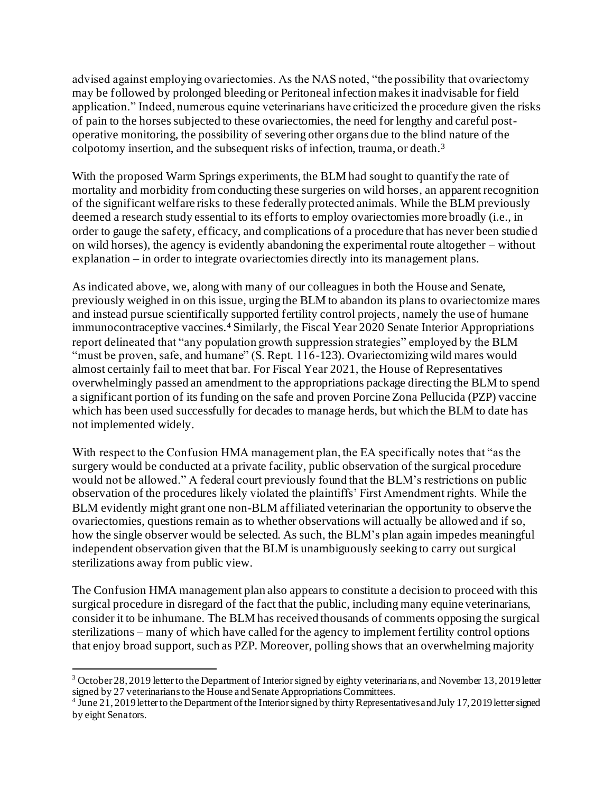advised against employing ovariectomies. As the NAS noted, "the possibility that ovariectomy may be followed by prolonged bleeding or Peritoneal infection makes it inadvisable for field application." Indeed, numerous equine veterinarians have criticized the procedure given the risks of pain to the horses subjected to these ovariectomies, the need for lengthy and careful postoperative monitoring, the possibility of severing other organs due to the blind nature of the colpotomy insertion, and the subsequent risks of infection, trauma, or death.<sup>3</sup>

With the proposed Warm Springs experiments, the BLM had sought to quantify the rate of mortality and morbidity from conducting these surgeries on wild horses, an apparent recognition of the significant welfare risks to these federally protected animals. While the BLM previously deemed a research study essential to its efforts to employ ovariectomies more broadly (i.e., in order to gauge the safety, efficacy, and complications of a procedure that has never been studied on wild horses), the agency is evidently abandoning the experimental route altogether – without explanation – in order to integrate ovariectomies directly into its management plans.

As indicated above, we, along with many of our colleagues in both the House and Senate, previously weighed in on this issue, urging the BLM to abandon its plans to ovariectomize mares and instead pursue scientifically supported fertility control projects, namely the use of humane immunocontraceptive vaccines.<sup>4</sup> Similarly, the Fiscal Year 2020 Senate Interior Appropriations report delineated that "any population growth suppression strategies" employed by the BLM "must be proven, safe, and humane" (S. Rept. 116-123). Ovariectomizing wild mares would almost certainly fail to meet that bar. For Fiscal Year 2021, the House of Representatives overwhelmingly passed an amendment to the appropriations package directing the BLM to spend a significant portion of its funding on the safe and proven Porcine Zona Pellucida (PZP) vaccine which has been used successfully for decades to manage herds, but which the BLM to date has not implemented widely.

With respect to the Confusion HMA management plan, the EA specifically notes that "as the surgery would be conducted at a private facility, public observation of the surgical procedure would not be allowed." A federal court previously found that the BLM's restrictions on public observation of the procedures likely violated the plaintiffs' First Amendment rights. While the BLM evidently might grant one non-BLM affiliated veterinarian the opportunity to observe the ovariectomies, questions remain as to whether observations will actually be allowed and if so, how the single observer would be selected. As such, the BLM's plan again impedes meaningful independent observation given that the BLM is unambiguously seeking to carry out surgical sterilizations away from public view.

The Confusion HMA management plan also appears to constitute a decision to proceed with this surgical procedure in disregard of the fact that the public, including many equine veterinarians, consider it to be inhumane. The BLM has received thousands of comments opposing the surgical sterilizations – many of which have called for the agency to implement fertility control options that enjoy broad support, such as PZP. Moreover, polling shows that an overwhelming majority

<sup>3</sup> October 28, 2019 letter to the Department of Interior signed by eighty veterinarians, and November 13, 2019 letter signed by 27 veterinarians to the House and Senate Appropriations Committees. 4 June 21, 2019 letter to the Department of the Interior signed by thirty Representatives and July 17, 2019 letter signed

by eight Senators.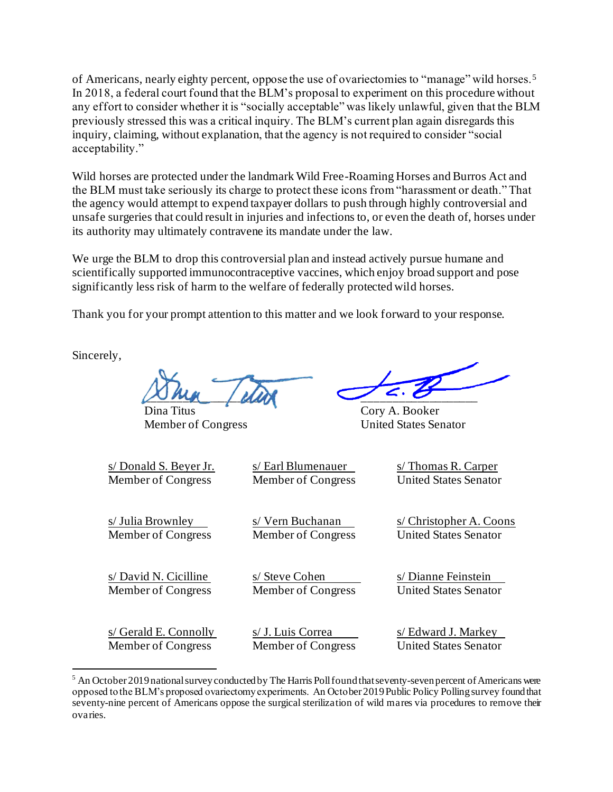of Americans, nearly eighty percent, oppose the use of ovariectomies to "manage" wild horses.<sup>5</sup> In 2018, a federal court found that the BLM's proposal to experiment on this procedure without any effort to consider whether it is "socially acceptable" was likely unlawful, given that the BLM previously stressed this was a critical inquiry. The BLM's current plan again disregards this inquiry, claiming, without explanation, that the agency is not required to consider "social acceptability."

Wild horses are protected under the landmark Wild Free-Roaming Horses and Burros Act and the BLM must take seriously its charge to protect these icons from "harassment or death." That the agency would attempt to expend taxpayer dollars to push through highly controversial and unsafe surgeries that could result in injuries and infections to, or even the death of, horses under its authority may ultimately contravene its mandate under the law.

We urge the BLM to drop this controversial plan and instead actively pursue humane and scientifically supported immunocontraceptive vaccines, which enjoy broad support and pose significantly less risk of harm to the welfare of federally protected wild horses.

Thank you for your prompt attention to this matter and we look forward to your response.

Sincerely,

 $\sim$   $\sim$   $\sim$   $\sim$ 

Member of Congress United States Senator

Cory A. Booker

s/ Donald S. Beyer Jr. s/ Earl Blumenauer s/ Thomas R. Carper Member of Congress Member of Congress United States Senator

s/ Julia Brownley s/ Vern Buchanan s/ Christopher A. Coons

Member of Congress Member of Congress United States Senator

s/ David N. Cicilline s/ Steve Cohen s/ Dianne Feinstein Member of Congress Member of Congress United States Senator

 $s/$  Gerald E. Connolly  $s/$  J. Luis Correa s/ Edward J. Markey Member of Congress Member of Congress United States Senator

 $5$  An October 2019 national survey conducted by The Harris Poll found that seventy-seven percent of Americans were opposed to the BLM's proposed ovariectomy experiments. An October 2019 Public Policy Polling survey found that seventy-nine percent of Americans oppose the surgical sterilization of wild mares via procedures to remove their ovaries.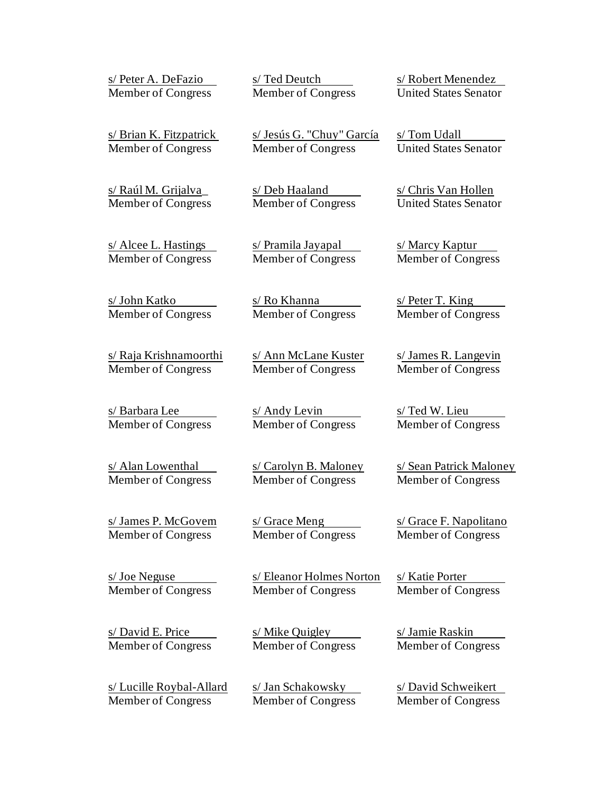| s/ Peter A. DeFazio                 | s/Ted Deutch                                   | s/Robert Menendez                     |
|-------------------------------------|------------------------------------------------|---------------------------------------|
| <b>Member of Congress</b>           | Member of Congress                             | <b>United States Senator</b>          |
| s/ Brian K. Fitzpatrick             | s/ Jesús G. "Chuy" García                      | s/Tom Udall                           |
| Member of Congress                  | Member of Congress                             | <b>United States Senator</b>          |
| s/ Raúl M. Grijalva_                | s/ Deb Haaland                                 | s/ Chris Van Hollen                   |
| Member of Congress                  | Member of Congress                             | <b>United States Senator</b>          |
| s/ Alcee L. Hastings                | s/ Pramila Jayapal                             | s/ Marcy Kaptur                       |
| Member of Congress                  | Member of Congress                             | Member of Congress                    |
| <u>s/ John Katko</u>                | <u>s/ Ro Khanna</u>                            | $s/$ Peter T. King                    |
| Member of Congress                  | Member of Congress                             | Member of Congress                    |
| s/ Raja Krishnamoorthi              | s/ Ann McLane Kuster                           | s/James R. Langevin                   |
| Member of Congress                  | Member of Congress                             | Member of Congress                    |
| <u>s/ Barbara Lee</u>               | s/ Andy Levin                                  | s/Ted W. Lieu                         |
| Member of Congress                  | Member of Congress                             | Member of Congress                    |
| s/ Alan Lowenthal                   | s/ Carolyn B. Maloney                          | s/ Sean Patrick Maloney               |
| <b>Member of Congress</b>           | Member of Congress                             | Member of Congress                    |
| s/James P. McGovern                 | s/ Grace Meng                                  | s/ Grace F. Napolitano                |
| Member of Congress                  | Member of Congress                             | Member of Congress                    |
| s/ Joe Neguse<br>Member of Congress | s/ Eleanor Holmes Norton<br>Member of Congress | s/ Katie Porter<br>Member of Congress |
| s/David E. Price                    | s/ Mike Quigley                                | s/ Jamie Raskin                       |
| Member of Congress                  | Member of Congress                             | Member of Congress                    |
| <u>s/ Lucille Roybal-Allard</u>     | s/ Jan Schakowsky                              | s/David Schweikert                    |
| Member of Congress                  | <b>Member of Congress</b>                      | Member of Congress                    |
|                                     |                                                |                                       |